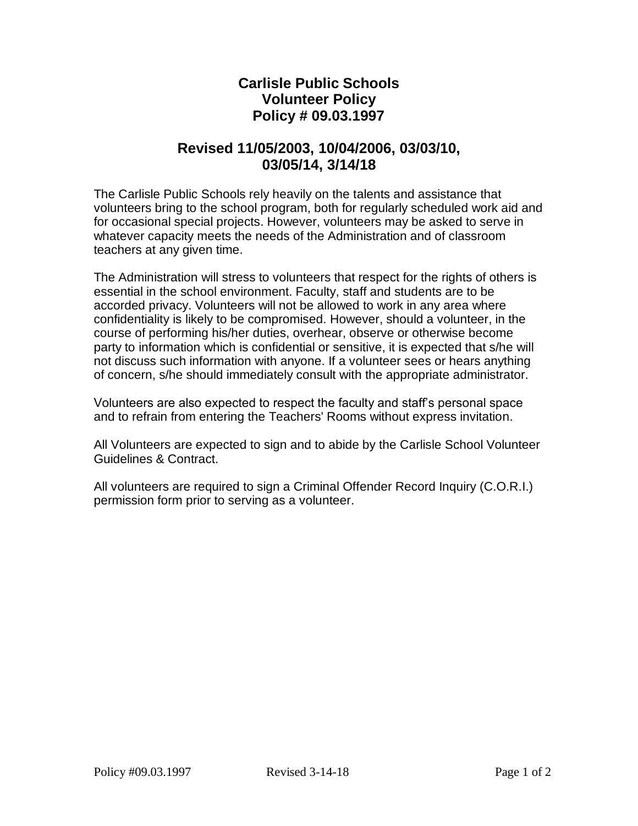## **Carlisle Public Schools Volunteer Policy Policy # 09.03.1997**

## **Revised 11/05/2003, 10/04/2006, 03/03/10, 03/05/14, 3/14/18**

The Carlisle Public Schools rely heavily on the talents and assistance that volunteers bring to the school program, both for regularly scheduled work aid and for occasional special projects. However, volunteers may be asked to serve in whatever capacity meets the needs of the Administration and of classroom teachers at any given time.

The Administration will stress to volunteers that respect for the rights of others is essential in the school environment. Faculty, staff and students are to be accorded privacy. Volunteers will not be allowed to work in any area where confidentiality is likely to be compromised. However, should a volunteer, in the course of performing his/her duties, overhear, observe or otherwise become party to information which is confidential or sensitive, it is expected that s/he will not discuss such information with anyone. If a volunteer sees or hears anything of concern, s/he should immediately consult with the appropriate administrator.

Volunteers are also expected to respect the faculty and staff's personal space and to refrain from entering the Teachers' Rooms without express invitation.

All Volunteers are expected to sign and to abide by the Carlisle School Volunteer Guidelines & Contract.

All volunteers are required to sign a Criminal Offender Record Inquiry (C.O.R.I.) permission form prior to serving as a volunteer.